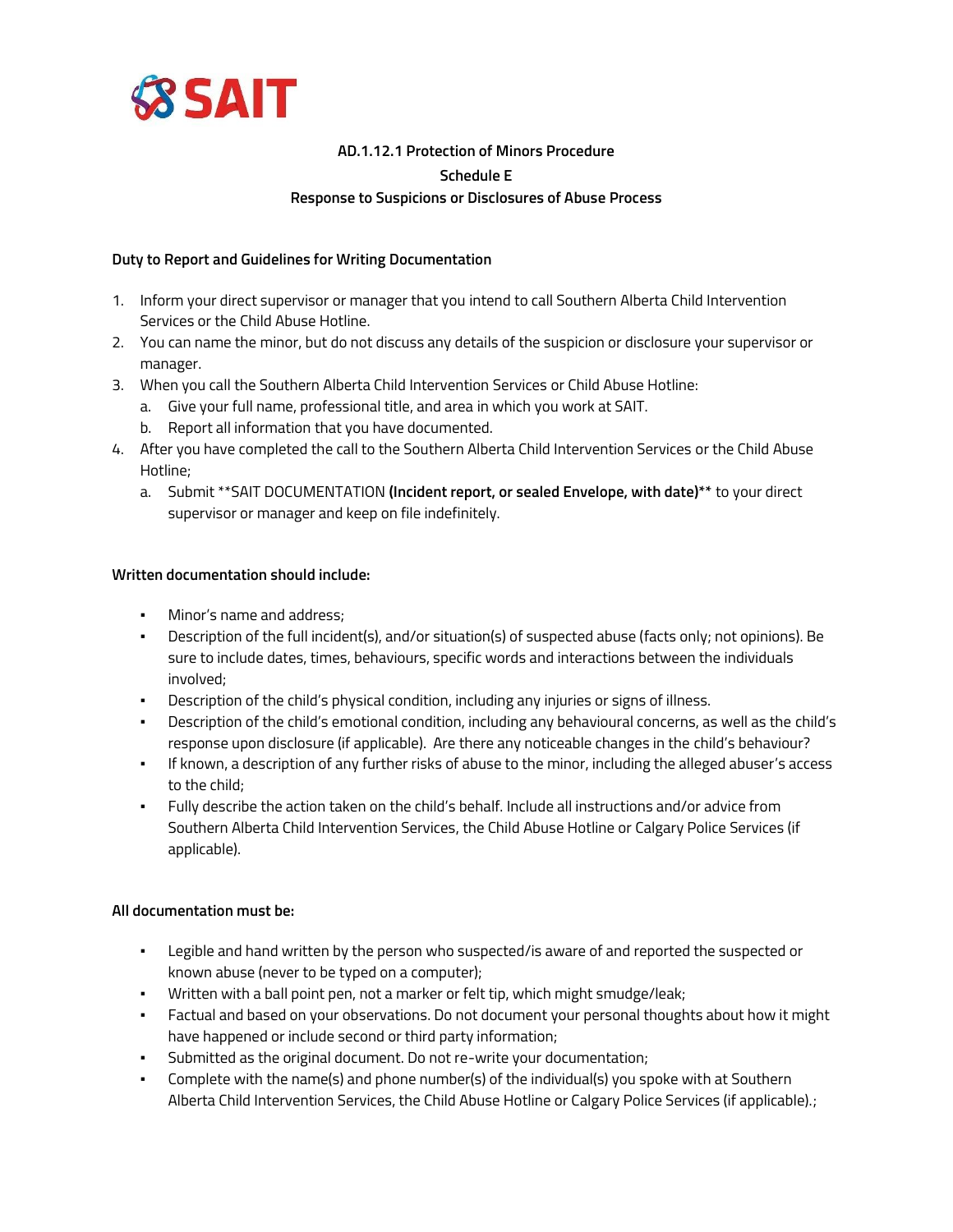

# **AD.1.12.1 Protection of Minors Procedure Schedule E Response to Suspicions or Disclosures of Abuse Process**

## **Duty to Report and Guidelines for Writing Documentation**

- 1. Inform your direct supervisor or manager that you intend to call Southern Alberta Child Intervention Services or the Child Abuse Hotline.
- 2. You can name the minor, but do not discuss any details of the suspicion or disclosure your supervisor or manager.
- 3. When you call the Southern Alberta Child Intervention Services or Child Abuse Hotline:
	- a. Give your full name, professional title, and area in which you work at SAIT.
	- b. Report all information that you have documented.
- 4. After you have completed the call to the Southern Alberta Child Intervention Services or the Child Abuse Hotline;
	- a. Submit \*\*SAIT DOCUMENTATION **(Incident report, or sealed Envelope, with date)\*\*** to your direct supervisor or manager and keep on file indefinitely.

#### **Written documentation should include:**

- Minor's name and address;
- Description of the full incident(s), and/or situation(s) of suspected abuse (facts only; not opinions). Be sure to include dates, times, behaviours, specific words and interactions between the individuals involved;
- Description of the child's physical condition, including any injuries or signs of illness.
- Description of the child's emotional condition, including any behavioural concerns, as well as the child's response upon disclosure (if applicable). Are there any noticeable changes in the child's behaviour?
- If known, a description of any further risks of abuse to the minor, including the alleged abuser's access to the child;
- Fully describe the action taken on the child's behalf. Include all instructions and/or advice from Southern Alberta Child Intervention Services, the Child Abuse Hotline or Calgary Police Services (if applicable).

### **All documentation must be:**

- Legible and hand written by the person who suspected/is aware of and reported the suspected or known abuse (never to be typed on a computer);
- Written with a ball point pen, not a marker or felt tip, which might smudge/leak;
- Factual and based on your observations. Do not document your personal thoughts about how it might have happened or include second or third party information;
- Submitted as the original document. Do not re-write your documentation;
- Complete with the name(s) and phone number(s) of the individual(s) you spoke with at Southern Alberta Child Intervention Services, the Child Abuse Hotline or Calgary Police Services (if applicable).;